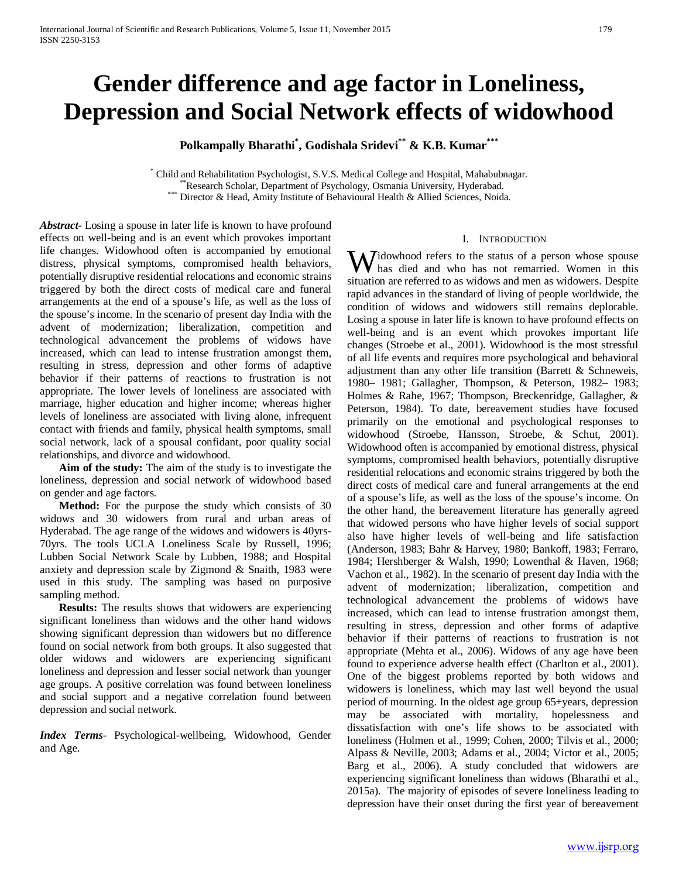# **Gender difference and age factor in Loneliness, Depression and Social Network effects of widowhood**

**Polkampally Bharathi\* , Godishala Sridevi\*\* & K.B. Kumar \*\*\***

\* Child and Rehabilitation Psychologist, S.V.S. Medical College and Hospital, Mahabubnagar. \*\*Research Scholar, Department of Psychology, Osmania University, Hyderabad.<br>\*\*\* Director & Head, Amity Institute of Behavioural Health & Allied Sciences, Noida.

*Abstract***-** Losing a spouse in later life is known to have profound effects on well-being and is an event which provokes important life changes. Widowhood often is accompanied by emotional distress, physical symptoms, compromised health behaviors, potentially disruptive residential relocations and economic strains triggered by both the direct costs of medical care and funeral arrangements at the end of a spouse's life, as well as the loss of the spouse's income. In the scenario of present day India with the advent of modernization; liberalization, competition and technological advancement the problems of widows have increased, which can lead to intense frustration amongst them, resulting in stress, depression and other forms of adaptive behavior if their patterns of reactions to frustration is not appropriate. The lower levels of loneliness are associated with marriage, higher education and higher income; whereas higher levels of loneliness are associated with living alone, infrequent contact with friends and family, physical health symptoms, small social network, lack of a spousal confidant, poor quality social relationships, and divorce and widowhood.

 **Aim of the study:** The aim of the study is to investigate the loneliness, depression and social network of widowhood based on gender and age factors.

 **Method:** For the purpose the study which consists of 30 widows and 30 widowers from rural and urban areas of Hyderabad. The age range of the widows and widowers is 40yrs-70yrs. The tools UCLA Loneliness Scale by Russell, 1996; Lubben Social Network Scale by Lubben, 1988; and Hospital anxiety and depression scale by Zigmond & Snaith, 1983 were used in this study. The sampling was based on purposive sampling method.

 **Results:** The results shows that widowers are experiencing significant loneliness than widows and the other hand widows showing significant depression than widowers but no difference found on social network from both groups. It also suggested that older widows and widowers are experiencing significant loneliness and depression and lesser social network than younger age groups. A positive correlation was found between loneliness and social support and a negative correlation found between depression and social network.

*Index Terms*- Psychological-wellbeing, Widowhood, Gender and Age.

#### I. INTRODUCTION

idowhood refers to the status of a person whose spouse **W** idowhood refers to the status of a person whose spouse<br>is died and who has not remarried. Women in this situation are referred to as widows and men as widowers. Despite rapid advances in the standard of living of people worldwide, the condition of widows and widowers still remains deplorable. Losing a spouse in later life is known to have profound effects on well-being and is an event which provokes important life changes (Stroebe et al., 2001). Widowhood is the most stressful of all life events and requires more psychological and behavioral adjustment than any other life transition (Barrett & Schneweis, 1980– 1981; Gallagher, Thompson, & Peterson, 1982– 1983; Holmes & Rahe, 1967; Thompson, Breckenridge, Gallagher, & Peterson, 1984). To date, bereavement studies have focused primarily on the emotional and psychological responses to widowhood (Stroebe, Hansson, Stroebe, & Schut, 2001). Widowhood often is accompanied by emotional distress, physical symptoms, compromised health behaviors, potentially disruptive residential relocations and economic strains triggered by both the direct costs of medical care and funeral arrangements at the end of a spouse's life, as well as the loss of the spouse's income. On the other hand, the bereavement literature has generally agreed that widowed persons who have higher levels of social support also have higher levels of well-being and life satisfaction (Anderson, 1983; Bahr & Harvey, 1980; Bankoff, 1983; Ferraro, 1984; Hershberger & Walsh, 1990; Lowenthal & Haven, 1968; Vachon et al., 1982). In the scenario of present day India with the advent of modernization; liberalization, competition and technological advancement the problems of widows have increased, which can lead to intense frustration amongst them, resulting in stress, depression and other forms of adaptive behavior if their patterns of reactions to frustration is not appropriate (Mehta et al., 2006). Widows of any age have been found to experience adverse health effect (Charlton et al., 2001). One of the biggest problems reported by both widows and widowers is loneliness, which may last well beyond the usual period of mourning. In the oldest age group 65+years, depression may be associated with mortality, hopelessness and dissatisfaction with one's life shows to be associated with loneliness (Holmen et al., 1999; Cohen, 2000; Tilvis et al., 2000; Alpass & Neville, 2003; Adams et al., 2004; Victor et al., 2005; Barg et al., 2006). A study concluded that widowers are experiencing significant loneliness than widows (Bharathi et al., 2015a). The majority of episodes of severe loneliness leading to depression have their onset during the first year of bereavement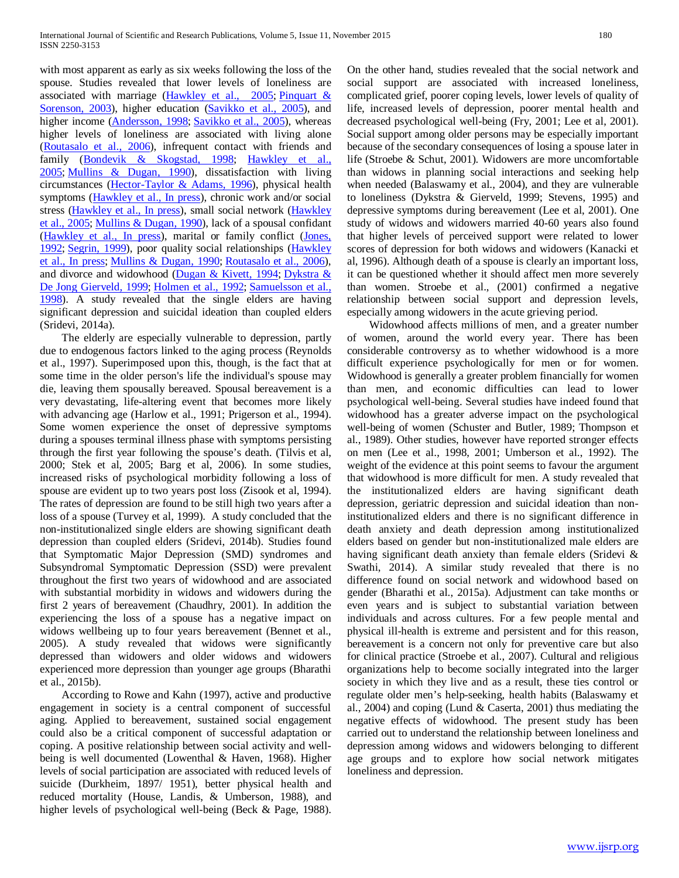with most apparent as early as six weeks following the loss of the spouse. Studies revealed that lower levels of loneliness are associated with marriage [\(Hawkley et al., 2005;](http://www.ncbi.nlm.nih.gov/pmc/articles/PMC2792572/#R37) [Pinquart &](http://www.ncbi.nlm.nih.gov/pmc/articles/PMC2792572/#R63)  [Sorenson, 2003\)](http://www.ncbi.nlm.nih.gov/pmc/articles/PMC2792572/#R63), higher education [\(Savikko et al., 2005\)](http://www.ncbi.nlm.nih.gov/pmc/articles/PMC2792572/#R75), and higher income [\(Andersson, 1998;](http://www.ncbi.nlm.nih.gov/pmc/articles/PMC2792572/#R3) [Savikko et al., 2005\)](http://www.ncbi.nlm.nih.gov/pmc/articles/PMC2792572/#R75), whereas higher levels of loneliness are associated with living alone [\(Routasalo et al., 2006\)](http://www.ncbi.nlm.nih.gov/pmc/articles/PMC2792572/#R69), infrequent contact with friends and family [\(Bondevik & Skogstad, 1998;](http://www.ncbi.nlm.nih.gov/pmc/articles/PMC2792572/#R8) Hawkley et al., [2005;](http://www.ncbi.nlm.nih.gov/pmc/articles/PMC2792572/#R37) [Mullins & Dugan, 1990\)](http://www.ncbi.nlm.nih.gov/pmc/articles/PMC2792572/#R56), dissatisfaction with living circumstances [\(Hector-Taylor & Adams, 1996\)](http://www.ncbi.nlm.nih.gov/pmc/articles/PMC2792572/#R40), physical health symptoms [\(Hawkley et al., In press\)](http://www.ncbi.nlm.nih.gov/pmc/articles/PMC2792572/#R38), chronic work and/or social stress [\(Hawkley et al., In press\)](http://www.ncbi.nlm.nih.gov/pmc/articles/PMC2792572/#R38), small social network [\(Hawkley](http://www.ncbi.nlm.nih.gov/pmc/articles/PMC2792572/#R37)  [et al., 2005;](http://www.ncbi.nlm.nih.gov/pmc/articles/PMC2792572/#R37) [Mullins & Dugan, 1990\)](http://www.ncbi.nlm.nih.gov/pmc/articles/PMC2792572/#R56), lack of a spousal confidant [\(Hawkley et al., In press\)](http://www.ncbi.nlm.nih.gov/pmc/articles/PMC2792572/#R38), marital or family conflict [\(Jones,](http://www.ncbi.nlm.nih.gov/pmc/articles/PMC2792572/#R44)  [1992;](http://www.ncbi.nlm.nih.gov/pmc/articles/PMC2792572/#R44) [Segrin, 1999\)](http://www.ncbi.nlm.nih.gov/pmc/articles/PMC2792572/#R78), poor quality social relationships [\(Hawkley](http://www.ncbi.nlm.nih.gov/pmc/articles/PMC2792572/#R38)  [et al., In press;](http://www.ncbi.nlm.nih.gov/pmc/articles/PMC2792572/#R38) [Mullins & Dugan, 1990;](http://www.ncbi.nlm.nih.gov/pmc/articles/PMC2792572/#R56) [Routasalo et al., 2006\)](http://www.ncbi.nlm.nih.gov/pmc/articles/PMC2792572/#R69), and divorce and widowhood [\(Dugan & Kivett, 1994;](http://www.ncbi.nlm.nih.gov/pmc/articles/PMC2792572/#R29) [Dykstra &](http://www.ncbi.nlm.nih.gov/pmc/articles/PMC2792572/#R30)  [De Jong Gierveld, 1999;](http://www.ncbi.nlm.nih.gov/pmc/articles/PMC2792572/#R30) [Holmen et al., 1992;](http://www.ncbi.nlm.nih.gov/pmc/articles/PMC2792572/#R42) [Samuelsson et al.,](http://www.ncbi.nlm.nih.gov/pmc/articles/PMC2792572/#R74)  [1998\)](http://www.ncbi.nlm.nih.gov/pmc/articles/PMC2792572/#R74). A study revealed that the single elders are having significant depression and suicidal ideation than coupled elders (Sridevi, 2014a).

 The elderly are especially vulnerable to depression, partly due to endogenous factors linked to the aging process (Reynolds et al., 1997). Superimposed upon this, though, is the fact that at some time in the older person's life the individual's spouse may die, leaving them spousally bereaved. Spousal bereavement is a very devastating, life-altering event that becomes more likely with advancing age (Harlow et al., 1991; Prigerson et al., 1994). Some women experience the onset of depressive symptoms during a spouses terminal illness phase with symptoms persisting through the first year following the spouse's death. (Tilvis et al, 2000; Stek et al, 2005; Barg et al, 2006). In some studies, increased risks of psychological morbidity following a loss of spouse are evident up to two years post loss (Zisook et al, 1994). The rates of depression are found to be still high two years after a loss of a spouse (Turvey et al, 1999). A study concluded that the non-institutionalized single elders are showing significant death depression than coupled elders (Sridevi, 2014b). Studies found that Symptomatic Major Depression (SMD) syndromes and Subsyndromal Symptomatic Depression (SSD) were prevalent throughout the first two years of widowhood and are associated with substantial morbidity in widows and widowers during the first 2 years of bereavement (Chaudhry, 2001). In addition the experiencing the loss of a spouse has a negative impact on widows wellbeing up to four years bereavement (Bennet et al., 2005). A study revealed that widows were significantly depressed than widowers and older widows and widowers experienced more depression than younger age groups (Bharathi et al., 2015b).

 According to Rowe and Kahn (1997), active and productive engagement in society is a central component of successful aging. Applied to bereavement, sustained social engagement could also be a critical component of successful adaptation or coping. A positive relationship between social activity and wellbeing is well documented (Lowenthal & Haven, 1968). Higher levels of social participation are associated with reduced levels of suicide (Durkheim, 1897/ 1951), better physical health and reduced mortality (House, Landis, & Umberson, 1988), and higher levels of psychological well-being (Beck & Page, 1988). On the other hand, studies revealed that the social network and social support are associated with increased loneliness, complicated grief, poorer coping levels, lower levels of quality of life, increased levels of depression, poorer mental health and decreased psychological well-being (Fry, 2001; Lee et al, 2001). Social support among older persons may be especially important because of the secondary consequences of losing a spouse later in life (Stroebe & Schut, 2001). Widowers are more uncomfortable than widows in planning social interactions and seeking help when needed (Balaswamy et al., 2004), and they are vulnerable to loneliness (Dykstra & Gierveld, 1999; Stevens, 1995) and depressive symptoms during bereavement (Lee et al, 2001). One study of widows and widowers married 40-60 years also found that higher levels of perceived support were related to lower scores of depression for both widows and widowers (Kanacki et al, 1996). Although death of a spouse is clearly an important loss, it can be questioned whether it should affect men more severely than women. Stroebe et al., (2001) confirmed a negative relationship between social support and depression levels, especially among widowers in the acute grieving period.

 Widowhood affects millions of men, and a greater number of women, around the world every year. There has been considerable controversy as to whether widowhood is a more difficult experience psychologically for men or for women. Widowhood is generally a greater problem financially for women than men, and economic difficulties can lead to lower psychological well-being. Several studies have indeed found that widowhood has a greater adverse impact on the psychological well-being of women (Schuster and Butler, 1989; Thompson et al., 1989). Other studies, however have reported stronger effects on men (Lee et al., 1998, 2001; Umberson et al., 1992). The weight of the evidence at this point seems to favour the argument that widowhood is more difficult for men. A study revealed that the institutionalized elders are having significant death depression, geriatric depression and suicidal ideation than noninstitutionalized elders and there is no significant difference in death anxiety and death depression among institutionalized elders based on gender but non-institutionalized male elders are having significant death anxiety than female elders (Sridevi & Swathi, 2014). A similar study revealed that there is no difference found on social network and widowhood based on gender (Bharathi et al., 2015a). Adjustment can take months or even years and is subject to substantial variation between individuals and across cultures. For a few people mental and physical ill-health is extreme and persistent and for this reason, bereavement is a concern not only for preventive care but also for clinical practice (Stroebe et al., 2007). Cultural and religious organizations help to become socially integrated into the larger society in which they live and as a result, these ties control or regulate older men's help-seeking, health habits (Balaswamy et al., 2004) and coping (Lund & Caserta, 2001) thus mediating the negative effects of widowhood. The present study has been carried out to understand the relationship between loneliness and depression among widows and widowers belonging to different age groups and to explore how social network mitigates loneliness and depression.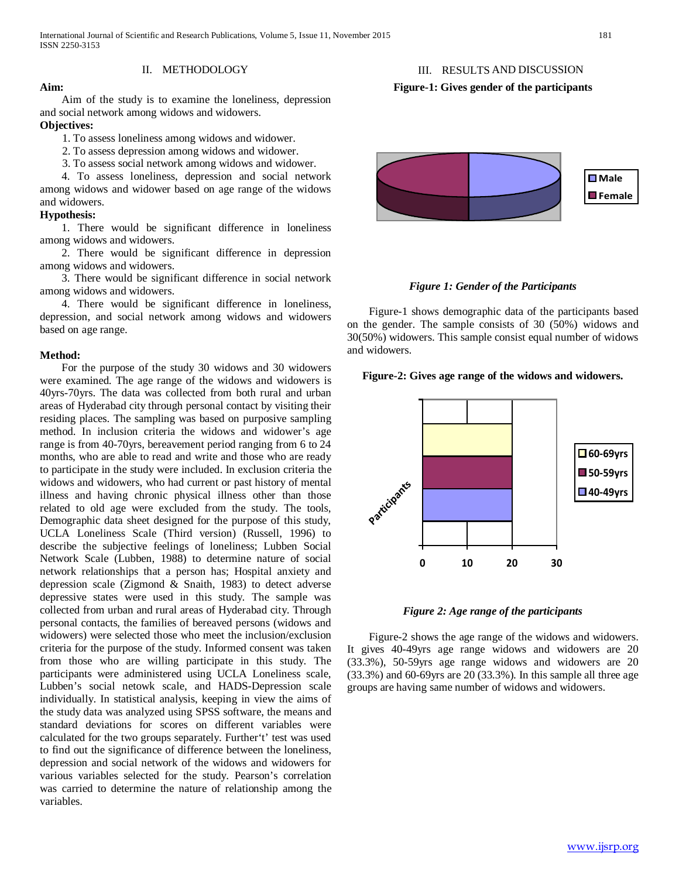## III. RESULTS AND DISCUSSION

## **Figure-1: Gives gender of the participants**

 Aim of the study is to examine the loneliness, depression and social network among widows and widowers.

II. METHODOLOGY

## **Objectives:**

**Aim:**

1. To assess loneliness among widows and widower.

- 2. To assess depression among widows and widower.
- 3. To assess social network among widows and widower.

 4. To assess loneliness, depression and social network among widows and widower based on age range of the widows and widowers.

## **Hypothesis:**

 1. There would be significant difference in loneliness among widows and widowers.

 2. There would be significant difference in depression among widows and widowers.

 3. There would be significant difference in social network among widows and widowers.

 4. There would be significant difference in loneliness, depression, and social network among widows and widowers based on age range.

## **Method:**

 For the purpose of the study 30 widows and 30 widowers were examined. The age range of the widows and widowers is 40yrs-70yrs. The data was collected from both rural and urban areas of Hyderabad city through personal contact by visiting their residing places. The sampling was based on purposive sampling method. In inclusion criteria the widows and widower's age range is from 40-70yrs, bereavement period ranging from 6 to 24 months, who are able to read and write and those who are ready to participate in the study were included. In exclusion criteria the widows and widowers, who had current or past history of mental illness and having chronic physical illness other than those related to old age were excluded from the study. The tools, Demographic data sheet designed for the purpose of this study, UCLA Loneliness Scale (Third version) (Russell, 1996) to describe the subjective feelings of loneliness; Lubben Social Network Scale (Lubben, 1988) to determine nature of social network relationships that a person has; Hospital anxiety and depression scale (Zigmond & Snaith, 1983) to detect adverse depressive states were used in this study. The sample was collected from urban and rural areas of Hyderabad city. Through personal contacts, the families of bereaved persons (widows and widowers) were selected those who meet the inclusion/exclusion criteria for the purpose of the study. Informed consent was taken from those who are willing participate in this study. The participants were administered using UCLA Loneliness scale, Lubben's social netowk scale, and HADS-Depression scale individually. In statistical analysis, keeping in view the aims of the study data was analyzed using SPSS software, the means and standard deviations for scores on different variables were calculated for the two groups separately. Further't' test was used to find out the significance of difference between the loneliness, depression and social network of the widows and widowers for various variables selected for the study. Pearson's correlation was carried to determine the nature of relationship among the variables.



## *Figure 1: Gender of the Participants*

 Figure-1 shows demographic data of the participants based on the gender. The sample consists of 30 (50%) widows and 30(50%) widowers. This sample consist equal number of widows and widowers.

## **Figure-2: Gives age range of the widows and widowers.**





 Figure-2 shows the age range of the widows and widowers. It gives 40-49yrs age range widows and widowers are 20 (33.3%), 50-59yrs age range widows and widowers are 20 (33.3%) and 60-69yrs are 20 (33.3%). In this sample all three age groups are having same number of widows and widowers.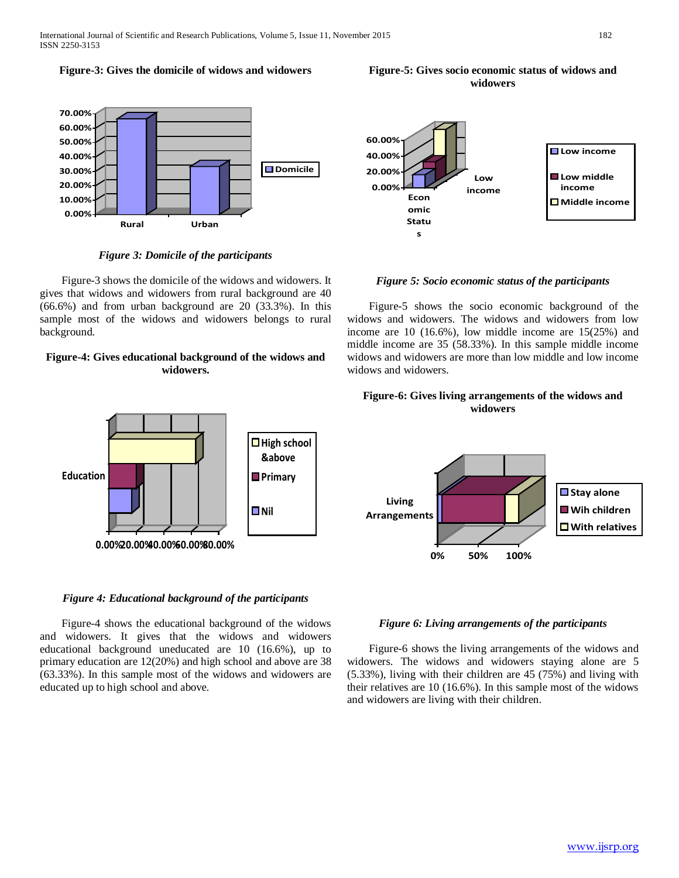#### **Figure-3: Gives the domicile of widows and widowers**



*Figure 3: Domicile of the participants*

 Figure-3 shows the domicile of the widows and widowers. It gives that widows and widowers from rural background are 40 (66.6%) and from urban background are 20 (33.3%). In this sample most of the widows and widowers belongs to rural background.

## **Figure-4: Gives educational background of the widows and widowers.**

■High school **&above Primary**

**Nil**



**Figure-5: Gives socio economic status of widows and widowers**

*Figure 5: Socio economic status of the participants*

 Figure-5 shows the socio economic background of the widows and widowers. The widows and widowers from low income are 10 (16.6%), low middle income are 15(25%) and middle income are 35 (58.33%). In this sample middle income widows and widowers are more than low middle and low income widows and widowers.

## **Figure-6: Gives living arrangements of the widows and widowers**



### *Figure 4: Educational background of the participants*

**0.00%20.00%40.00%60.00%80.00%**

**Education**

 Figure-4 shows the educational background of the widows and widowers. It gives that the widows and widowers educational background uneducated are 10 (16.6%), up to primary education are 12(20%) and high school and above are 38 (63.33%). In this sample most of the widows and widowers are educated up to high school and above.

## *Figure 6: Living arrangements of the participants*

 Figure-6 shows the living arrangements of the widows and widowers. The widows and widowers staying alone are 5 (5.33%), living with their children are 45 (75%) and living with their relatives are 10 (16.6%). In this sample most of the widows and widowers are living with their children.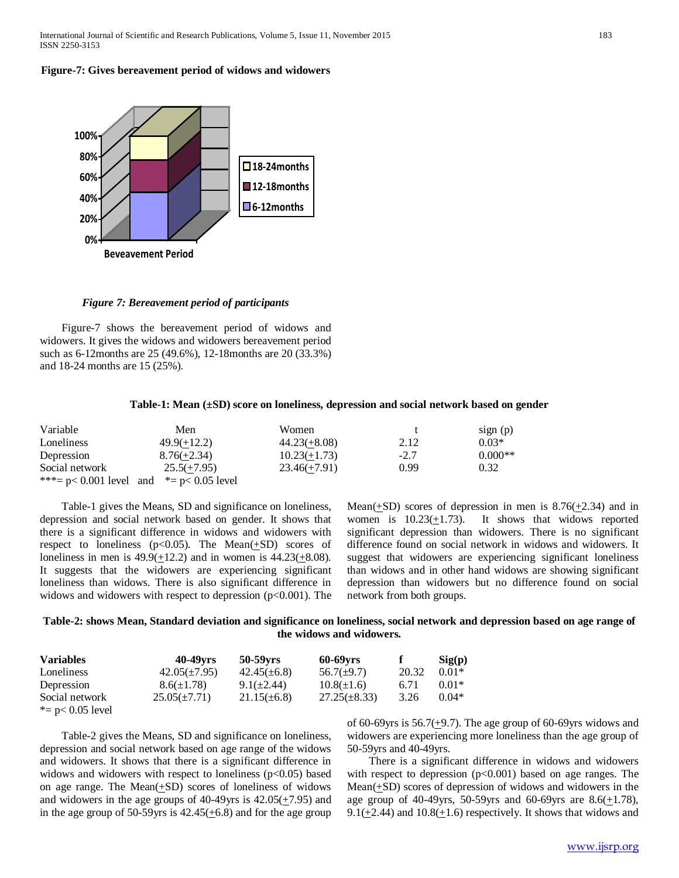**Figure-7: Gives bereavement period of widows and widowers**



*Figure 7: Bereavement period of participants*

 Figure-7 shows the bereavement period of widows and widowers. It gives the widows and widowers bereavement period such as 6-12months are 25 (49.6%), 12-18months are 20 (33.3%) and 18-24 months are 15 (25%).

#### **Table-1: Mean (±SD) score on loneliness, depression and social network based on gender**

| Variable       | Men                                            | Women          |        | sign(p)   |
|----------------|------------------------------------------------|----------------|--------|-----------|
| Loneliness     | $49.9(+12.2)$                                  | $44.23(+8.08)$ | 2.12   | $0.03*$   |
| Depression     | $8.76(+2.34)$                                  | $10.23(+1.73)$ | $-2.7$ | $0.000**$ |
| Social network | $25.5(+7.95)$                                  | $23.46(+7.91)$ | 0.99   | 0.32      |
|                | ***= $p < 0.001$ level and *= $p < 0.05$ level |                |        |           |

 Table-1 gives the Means, SD and significance on loneliness, depression and social network based on gender. It shows that there is a significant difference in widows and widowers with respect to loneliness ( $p$ <0.05). The Mean( $\pm$ SD) scores of loneliness in men is  $49.9(\pm 12.2)$  and in women is  $44.23(\pm 8.08)$ . It suggests that the widowers are experiencing significant loneliness than widows. There is also significant difference in widows and widowers with respect to depression  $(p<0.001)$ . The Mean( $+SD$ ) scores of depression in men is 8.76( $+2.34$ ) and in women is 10.23(+1.73). It shows that widows reported significant depression than widowers. There is no significant difference found on social network in widows and widowers. It suggest that widowers are experiencing significant loneliness than widows and in other hand widows are showing significant depression than widowers but no difference found on social network from both groups.

## **Table-2: shows Mean, Standard deviation and significance on loneliness, social network and depression based on age range of the widows and widowers.**

| <b>Variables</b>    | 40-49 <sub>vrs</sub> | 50-59yrs         | <b>60-69yrs</b>   |       | Sig(p)  |
|---------------------|----------------------|------------------|-------------------|-------|---------|
| Loneliness          | $42.05(\pm 7.95)$    | $42.45(\pm 6.8)$ | $56.7(\pm 9.7)$   | 20.32 | $0.01*$ |
| Depression          | $8.6(\pm 1.78)$      | $9.1(\pm 2.44)$  | $10.8(\pm 1.6)$   | 6.71  | $0.01*$ |
| Social network      | $25.05(\pm 7.71)$    | $21.15(\pm 6.8)$ | $27.25(\pm 8.33)$ | 3.26  | $0.04*$ |
| *= $p$ < 0.05 level |                      |                  |                   |       |         |

 Table-2 gives the Means, SD and significance on loneliness, depression and social network based on age range of the widows and widowers. It shows that there is a significant difference in widows and widowers with respect to loneliness  $(p<0.05)$  based on age range. The Mean(+SD) scores of loneliness of widows and widowers in the age groups of 40-49yrs is 42.05(+7.95) and in the age group of  $50-59$ yrs is  $42.45(+6.8)$  and for the age group

of 60-69yrs is  $56.7(\pm 9.7)$ . The age group of 60-69yrs widows and widowers are experiencing more loneliness than the age group of 50-59yrs and 40-49yrs.

 There is a significant difference in widows and widowers with respect to depression  $(p<0.001)$  based on age ranges. The Mean(+SD) scores of depression of widows and widowers in the age group of 40-49yrs, 50-59yrs and 60-69yrs are  $8.6(\pm 1.78)$ , 9.1( $+2.44$ ) and 10.8( $+1.6$ ) respectively. It shows that widows and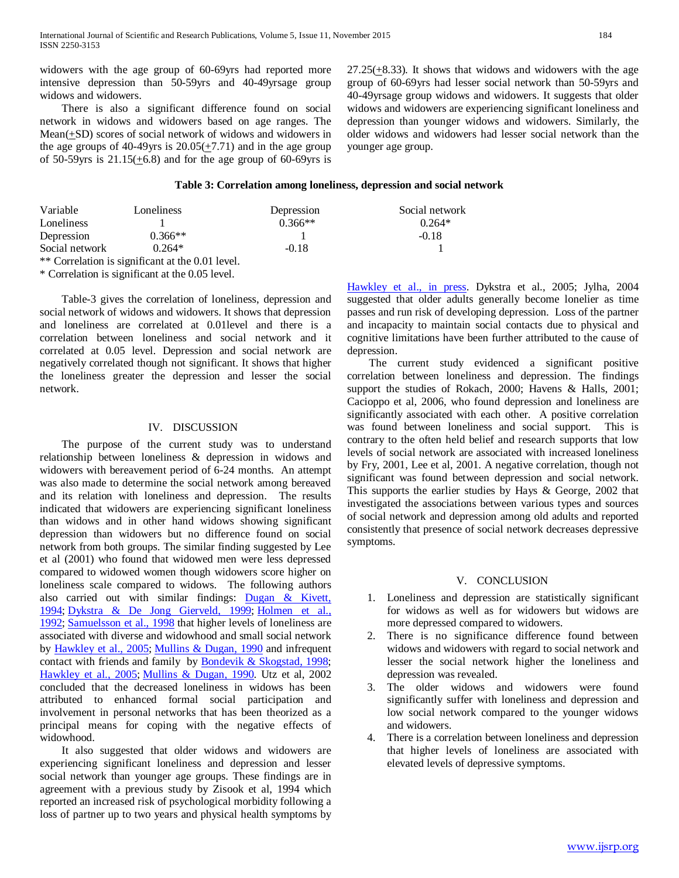widowers with the age group of 60-69yrs had reported more intensive depression than 50-59yrs and 40-49yrsage group widows and widowers.

 There is also a significant difference found on social network in widows and widowers based on age ranges. The Mean(+SD) scores of social network of widows and widowers in the age groups of 40-49yrs is  $20.05(\pm 7.71)$  and in the age group of 50-59yrs is  $21.15(\pm 6.8)$  and for the age group of 60-69yrs is 27.25(+8.33). It shows that widows and widowers with the age group of 60-69yrs had lesser social network than 50-59yrs and 40-49yrsage group widows and widowers. It suggests that older widows and widowers are experiencing significant loneliness and depression than younger widows and widowers. Similarly, the older widows and widowers had lesser social network than the younger age group.

### **Table 3: Correlation among loneliness, depression and social network**

| Variable       | Loneliness                                       | Depression | Social network |
|----------------|--------------------------------------------------|------------|----------------|
| Loneliness     |                                                  | $0.366**$  | $0.264*$       |
| Depression     | $0.366**$                                        |            | $-0.18$        |
| Social network | $0.264*$                                         | $-0.18$    |                |
|                | ** Correlation is significant at the 0.01 level. |            |                |

\* Correlation is significant at the 0.05 level.

 Table-3 gives the correlation of loneliness, depression and social network of widows and widowers. It shows that depression and loneliness are correlated at 0.01level and there is a correlation between loneliness and social network and it correlated at 0.05 level. Depression and social network are negatively correlated though not significant. It shows that higher the loneliness greater the depression and lesser the social network.

## IV. DISCUSSION

 The purpose of the current study was to understand relationship between loneliness & depression in widows and widowers with bereavement period of 6-24 months. An attempt was also made to determine the social network among bereaved and its relation with loneliness and depression. The results indicated that widowers are experiencing significant loneliness than widows and in other hand widows showing significant depression than widowers but no difference found on social network from both groups. The similar finding suggested by Lee et al (2001) who found that widowed men were less depressed compared to widowed women though widowers score higher on loneliness scale compared to widows. The following authors also carried out with similar findings: [Dugan & Kivett,](http://www.ncbi.nlm.nih.gov/pmc/articles/PMC2792572/#R29)  [1994;](http://www.ncbi.nlm.nih.gov/pmc/articles/PMC2792572/#R29) [Dykstra & De Jong Gierveld, 1999;](http://www.ncbi.nlm.nih.gov/pmc/articles/PMC2792572/#R30) [Holmen et al.,](http://www.ncbi.nlm.nih.gov/pmc/articles/PMC2792572/#R42)  [1992;](http://www.ncbi.nlm.nih.gov/pmc/articles/PMC2792572/#R42) [Samuelsson et al., 1998](http://www.ncbi.nlm.nih.gov/pmc/articles/PMC2792572/#R74) that higher levels of loneliness are associated with diverse and widowhood and small social network by [Hawkley et al., 2005;](http://www.ncbi.nlm.nih.gov/pmc/articles/PMC2792572/#R37) [Mullins & Dugan, 1990](http://www.ncbi.nlm.nih.gov/pmc/articles/PMC2792572/#R56) and infrequent contact with friends and family by [Bondevik & Skogstad, 1998;](http://www.ncbi.nlm.nih.gov/pmc/articles/PMC2792572/#R8) [Hawkley et al., 2005;](http://www.ncbi.nlm.nih.gov/pmc/articles/PMC2792572/#R37) [Mullins & Dugan, 1990.](http://www.ncbi.nlm.nih.gov/pmc/articles/PMC2792572/#R56) Utz et al, 2002 concluded that the decreased loneliness in widows has been attributed to enhanced formal social participation and involvement in personal networks that has been theorized as a principal means for coping with the negative effects of widowhood.

 It also suggested that older widows and widowers are experiencing significant loneliness and depression and lesser social network than younger age groups. These findings are in agreement with a previous study by Zisook et al, 1994 which reported an increased risk of psychological morbidity following a loss of partner up to two years and physical health symptoms by

[Hawkley et al., in press.](http://www.ncbi.nlm.nih.gov/pmc/articles/PMC2792572/#R38) Dykstra et al., 2005; Jylha, 2004 suggested that older adults generally become lonelier as time passes and run risk of developing depression. Loss of the partner and incapacity to maintain social contacts due to physical and cognitive limitations have been further attributed to the cause of depression.

 The current study evidenced a significant positive correlation between loneliness and depression. The findings support the studies of Rokach, 2000; Havens & Halls, 2001; Cacioppo et al, 2006, who found depression and loneliness are significantly associated with each other. A positive correlation was found between loneliness and social support. This is contrary to the often held belief and research supports that low levels of social network are associated with increased loneliness by Fry, 2001, Lee et al, 2001. A negative correlation, though not significant was found between depression and social network. This supports the earlier studies by Hays & George, 2002 that investigated the associations between various types and sources of social network and depression among old adults and reported consistently that presence of social network decreases depressive symptoms.

## V. CONCLUSION

- 1. Loneliness and depression are statistically significant for widows as well as for widowers but widows are more depressed compared to widowers.
- 2. There is no significance difference found between widows and widowers with regard to social network and lesser the social network higher the loneliness and depression was revealed.
- 3. The older widows and widowers were found significantly suffer with loneliness and depression and low social network compared to the younger widows and widowers.
- 4. There is a correlation between loneliness and depression that higher levels of loneliness are associated with elevated levels of depressive symptoms.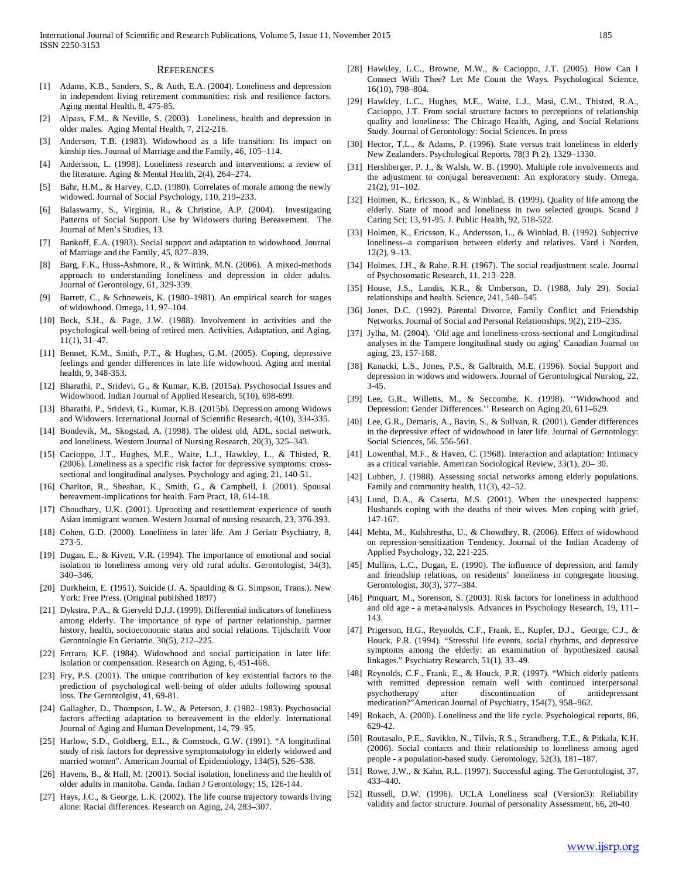#### **REFERENCES**

- [1] Adams, K.B., Sanders, S., & Auth, E.A. (2004). Loneliness and depression in independent living retirement communities: risk and resilience factors. Aging mental Health, 8, 475-85.
- [2] Alpass, F.M., & Neville, S. (2003). Loneliness, health and depression in older males. Aging Mental Health, 7, 212-216.
- [3] Anderson, T.B. (1983). Widowhood as a life transition: Its impact on kinship ties. Journal of Marriage and the Family, 46, 105–114.
- [4] Andersson, L. (1998). Loneliness research and interventions: a review of the literature. Aging & Mental Health, 2(4), 264–274.
- [5] Bahr, H.M., & Harvey, C.D. (1980). Correlates of morale among the newly widowed. Journal of Social Psychology, 110, 219–233.
- [6] Balaswamy, S., Virginia, R., & Christine, A.P. (2004). Investigating Patterns of Social Support Use by Widowers during Bereavement. The Journal of Men's Studies, 13.
- [7] Bankoff, E.A. (1983). Social support and adaptation to widowhood. Journal of Marriage and the Family, 45, 827–839.
- [8] Barg, F.K., Huss-Ashmore, R., & Wittink, M.N. (2006). A mixed-methods approach to understanding loneliness and depression in older adults. Journal of Gerontology, 61, 329-339.
- [9] Barrett, C., & Schneweis, K. (1980–1981). An empirical search for stages of widowhood. Omega, 11, 97–104.
- [10] Beck, S.H., & Page, J.W. (1988). Involvement in activities and the psychological well-being of retired men. Activities, Adaptation, and Aging, 11(1), 31–47.
- [11] Bennet, K.M., Smith, P.T., & Hughes, G.M. (2005). Coping, depressive feelings and gender differences in late life widowhood. Aging and mental health, 9, 348-353.
- [12] Bharathi, P., Sridevi, G., & Kumar, K.B. (2015a). Psychosocial Issues and Widowhood. Indian Journal of Applied Research, 5(10), 698-699.
- [13] Bharathi, P., Sridevi, G., Kumar, K.B. (2015b). Depression among Widows and Widowers. International Journal of Scientific Research, 4(10), 334-335.
- [14] Bondevik, M., Skogstad, A. (1998). The oldest old, ADL, social network. and loneliness. Western Journal of Nursing Research, 20(3), 325–343.
- [15] Cacioppo, J.T., Hughes, M.E., Waite, L.J., Hawkley, L., & Thisted, R. (2006). Loneliness as a specific risk factor for depressive symptoms: crosssectional and longitudinal analyses. Psychology and aging, 21, 140-51.
- [16] Charlton, R., Sheahan, K., Smith, G., & Campbell, I. (2001). Spousal bereavment-implications for health. Fam Pract, 18, 614-18.
- [17] Choudhary, U.K. (2001). Uprooting and resettlement experience of south Asian immigrant women. Western Journal of nursing research, 23, 376-393.
- [18] Cohen, G.D. (2000). Loneliness in later life. Am J Geriatr Psychiatry, 8, 273-5.
- [19] Dugan, E., & Kivett, V.R. (1994). The importance of emotional and social isolation to loneliness among very old rural adults. Gerontologist, 34(3), 340–346.
- [20] Durkheim, E. (1951). Suicide (J. A. Spaulding & G. Simpson, Trans.). New York: Free Press. (Original published 1897)
- [21] Dykstra, P.A., & Gierveld D.J.J. (1999). Differential indicators of loneliness among elderly. The importance of type of partner relationship, partner history, health, socioeconomic status and social relations. Tijdschrift Voor Gerontologie En Geriatrie. 30(5), 212–225.
- [22] Ferraro, K.F. (1984). Widowhood and social participation in later life: Isolation or compensation. Research on Aging, 6, 451-468.
- [23] Fry, P.S. (2001). The unique contribution of key existential factors to the prediction of psychological well-being of older adults following spousal loss. The Gerontolgist, 41, 69-81.
- [24] Gallagher, D., Thompson, L.W., & Peterson, J. (1982–1983). Psychosocial factors affecting adaptation to bereavement in the elderly. International Journal of Aging and Human Development, 14, 79–95.
- [25] Harlow, S.D., Goldberg, E.L., & Comstock, G.W. (1991). "A longitudinal study of risk factors for depressive symptomatology in elderly widowed and married women". American Journal of Epidemiology, 134(5), 526–538.
- [26] Havens, B., & Hall, M. (2001). Social isolation, loneliness and the health of older adults in manitoba. Canda. Indian J Gerontology; 15, 126-144.
- [27] Hays, J.C., & George, L.K. (2002). The life course trajectory towards living alone: Racial differences. Research on Aging, 24, 283–307.
- [28] Hawkley, L.C., Browne, M.W., & Cacioppo, J.T. (2005). How Can I Connect With Thee? Let Me Count the Ways. Psychological Science, 16(10), 798–804.
- [29] Hawkley, L.C., Hughes, M.E., Waite, L.J., Masi, C.M., Thisted, R.A., Cacioppo, J.T. From social structure factors to perceptions of relationship quality and loneliness: The Chicago Health, Aging, and Social Relations Study. Journal of Gerontology: Social Sciences. In press
- [30] Hector, T.L., & Adams, P. (1996). State versus trait loneliness in elderly New Zealanders. Psychological Reports, 78(3 Pt 2), 1329–1330.
- [31] Hershberger, P. J., & Walsh, W. B. (1990). Multiple role involvements and the adjustment to conjugal bereavement: An exploratory study. Omega, 21(2), 91–102.
- [32] Holmen, K., Ericsson, K., & Winblad, B. (1999). Quality of life among the elderly. State of mood and loneliness in two selected groups. Scand J Caring Sci; 13, 91-95. J. Public Health, 92, 518-522.
- [33] Holmen, K., Ericsson, K., Andersson, L., & Winblad, B. (1992). Subjective loneliness--a comparison between elderly and relatives. Vard i Norden, 12(2), 9–13.
- [34] Holmes, J.H., & Rahe, R.H. (1967). The social readjustment scale. Journal of Psychosomatic Research, 11, 213–228.
- [35] House, J.S., Landis, K.R., & Umberson, D. (1988, July 29). Social relationships and health. Science, 241, 540–545
- [36] Jones, D.C. (1992). Parental Divorce, Family Conflict and Friendship Networks. Journal of Social and Personal Relationships, 9(2), 219–235.
- [37] Jylha, M. (2004). 'Old age and loneliness-cross-sectional and Longitudinal analyses in the Tampere longitudinal study on aging' Canadian Journal on aging, 23, 157-168.
- [38] Kanacki, L.S., Jones, P.S., & Galbraith, M.E. (1996). Social Support and depression in widows and widowers. Journal of Gerontological Nursing, 22, 3-45.
- [39] Lee, G.R., Willetts, M., & Seccombe, K. (1998). ''Widowhood and Depression: Gender Differences.'' Research on Aging 20, 611–629.
- [40] Lee, G.R., Demaris, A., Bavin, S., & Sullvan, R. (2001). Gender differences in the depressive effect of widowhood in later life. Journal of Gernotology: Social Sciences, 56, 556-561.
- [41] Lowenthal, M.F., & Haven, C. (1968). Interaction and adaptation: Intimacy as a critical variable. American Sociological Review, 33(1), 20– 30.
- [42] Lubben, J. (1988). Assessing social networks among elderly populations. Family and community health, 11(3), 42–52.
- [43] Lund, D.A., & Caserta, M.S. (2001). When the unexpected happens: Husbands coping with the deaths of their wives. Men coping with grief, 147-167.
- [44] Mehta, M., Kulshrestha, U., & Chowdhry, R. (2006). Effect of widowhood on repression-sensitization Tendency. Journal of the Indian Academy of Applied Psychology, 32, 221-225.
- [45] Mullins, L.C., Dugan, E. (1990). The influence of depression, and family and friendship relations, on residents' loneliness in congregate housing. Gerontologist, 30(3), 377–384.
- [46] Pinquart, M., Sorenson, S. (2003). Risk factors for loneliness in adulthood and old age - a meta-analysis. Advances in Psychology Research, 19, 111– 143.
- [47] Prigerson, H.G., Reynolds, C.F., Frank, E., Kupfer, D.J., George, C.J., & Houck, P.R. (1994). "Stressful life events, social rhythms, and depressive symptoms among the elderly: an examination of hypothesized causal linkages." Psychiatry Research, 51(1), 33–49.
- [48] Reynolds, C.F., Frank, E., & Houck, P.R. (1997). "Which elderly patients with remitted depression remain well with continued interpersonal psychotherapy after discontinuation of antidepressant medication?"American Journal of Psychiatry, 154(7), 958–962.
- [49] Rokach, A. (2000). Loneliness and the life cycle. Psychological reports, 86, 629-42.
- [50] Routasalo, P.E., Savikko, N., Tilvis, R.S., Strandberg, T.E., & Pitkala, K.H. (2006). Social contacts and their relationship to loneliness among aged people - a population-based study. Gerontology, 52(3), 181–187.
- [51] Rowe, J.W., & Kahn, R.L. (1997). Successful aging. The Gerontologist, 37, 433–440.
- [52] Russell, D.W. (1996). UCLA Loneliness scal (Version3): Reliability validity and factor structure. Journal of personality Assessment, 66, 20-40